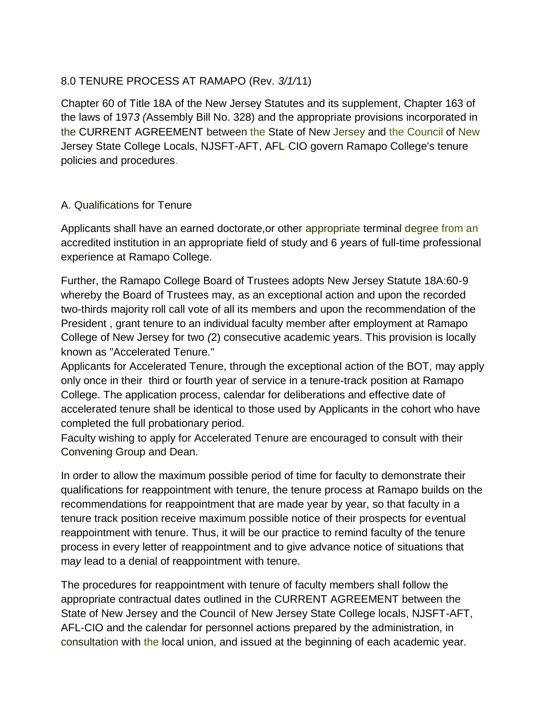#### 8.0 TENURE PROCESS AT RAMAPO (Rev*. 3/1/*11)

Chapter 60 of Title 18A of the New Jersey Statutes and its supplement, Chapter 163 of the laws of 197*3 (*Assembly Bill No. 328) and the appropriate provisions incorporated in the CURRENT AGREEMENT between the State of New Jersey and the Council of New Jersey State College Locals, NJSFT-AFT, AFL-CIO govern Ramapo College's tenure policies and procedures.

#### A. Qualifications for Tenure

Applicants shall have an earned doctorate,or other appropriate terminal degree from an accredited institution in an appropriate field of study and 6 *y*ears of full-time professional experience at Ramapo College.

Further, the Ramapo College Board of Trustees adopts New Jersey Statute 18A:60-9 whereby the Board of Trustees may, as an exceptional action and upon the recorded two-thirds majority roll call vote of all its members and upon the recommendation of the President , grant tenure to an individual faculty member after employment at Ramapo College of New Jersey for two *(*2) consecutive academic years. This provision is locally known as "Accelerated Tenure."

Applicants for Accelerated Tenure, through the exceptional action of the BOT, may apply only once in their third or fourth year of service in a tenure-track position at Ramapo College. The application process, calendar for deliberations and effective date of accelerated tenure shall be identical to those used by Applicants in the cohort who have completed the full probationary period.

Faculty wishing to apply for Accelerated Tenure are encouraged to consult with their Convening Group and Dean.

In order to allow the maximum possible period of time for faculty to demonstrate their qualifications for reappointment with tenure, the tenure process at Ramapo builds on the recommendations for reappointment that are made year by year, so that faculty in a tenure track position receive maximum possible notice of their prospects for e*v*entual reappointment with tenure. Thus, it will be our practice to remind faculty of the tenure process in every letter of reappointment and to give advance notice of situations that ma*y* lead to a denial of reappointment with tenure.

The procedures for reappointment with tenure of faculty members shall follow the appropriate contractual dates outlined in the CURRENT AGREEMENT between the State of New Jersey and the Council of New Jersey State College locals, NJSFT-AFT, AFL-CIO and the calendar for personnel actions prepared by the administration, in consultation with the local union, and issued at the beginning of each academic year.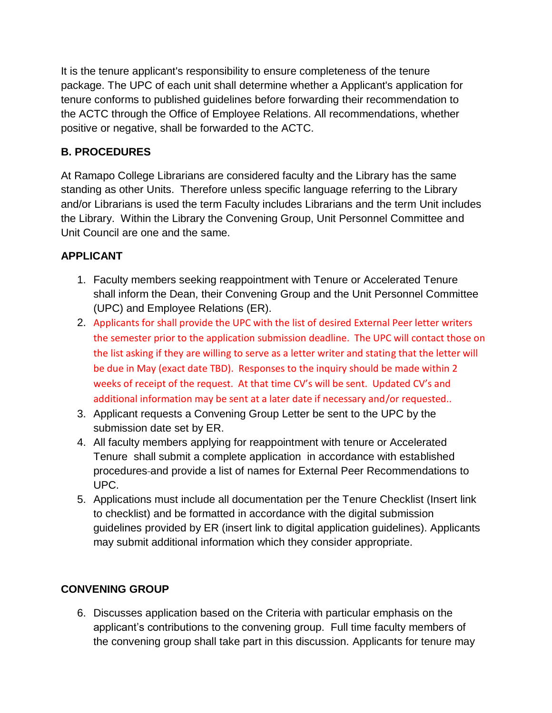It is the tenure applicant's responsibility to ensure completeness of the tenure package. The UPC of each unit shall determine whether a Applicant's application for tenure conforms to published guidelines before forwarding their recommendation to the ACTC through the Office of Employee Relations. All recommendations, whether positive or negative, shall be forwarded to the ACTC.

# **B. PROCEDURES**

At Ramapo College Librarians are considered faculty and the Library has the same standing as other Units. Therefore unless specific language referring to the Library and/or Librarians is used the term Faculty includes Librarians and the term Unit includes the Library. Within the Library the Convening Group, Unit Personnel Committee and Unit Council are one and the same.

# **APPLICANT**

- 1. Faculty members seeking reappointment with Tenure or Accelerated Tenure shall inform the Dean, their Convening Group and the Unit Personnel Committee (UPC) and Employee Relations (ER).
- 2. Applicants for shall provide the UPC with the list of desired External Peer letter writers the semester prior to the application submission deadline. The UPC will contact those on the list asking if they are willing to serve as a letter writer and stating that the letter will be due in May (exact date TBD). Responses to the inquiry should be made within 2 weeks of receipt of the request. At that time CV's will be sent. Updated CV's and additional information may be sent at a later date if necessary and/or requested..
- 3. Applicant requests a Convening Group Letter be sent to the UPC by the submission date set by ER.
- 4. All faculty members applying for reappointment with tenure or Accelerated Tenure shall submit a complete application in accordance with established procedures and provide a list of names for External Peer Recommendations to UPC.
- 5. Applications must include all documentation per the Tenure Checklist (Insert link to checklist) and be formatted in accordance with the digital submission guidelines provided by ER (insert link to digital application guidelines). Applicants may submit additional information which they consider appropriate.

## **CONVENING GROUP**

6. Discusses application based on the Criteria with particular emphasis on the applicant's contributions to the convening group. Full time faculty members of the convening group shall take part in this discussion. Applicants for tenure may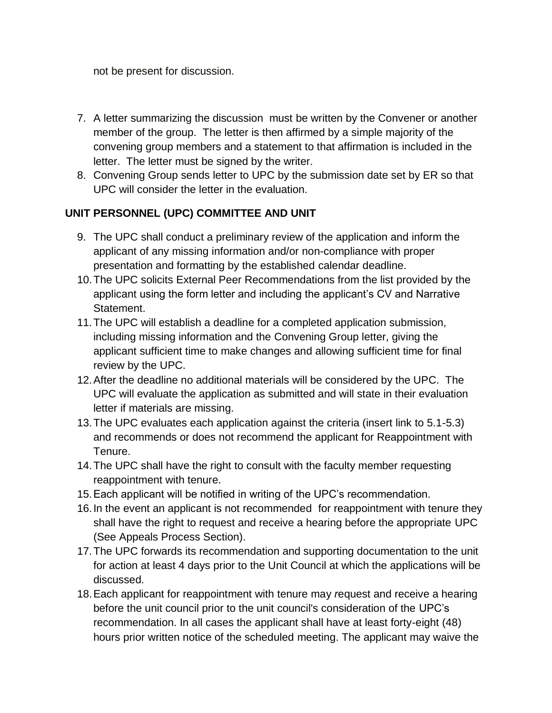not be present for discussion.

- 7. A letter summarizing the discussion must be written by the Convener or another member of the group. The letter is then affirmed by a simple majority of the convening group members and a statement to that affirmation is included in the letter. The letter must be signed by the writer.
- 8. Convening Group sends letter to UPC by the submission date set by ER so that UPC will consider the letter in the evaluation.

## **UNIT PERSONNEL (UPC) COMMITTEE AND UNIT**

- 9. The UPC shall conduct a preliminary review of the application and inform the applicant of any missing information and/or non-compliance with proper presentation and formatting by the established calendar deadline.
- 10.The UPC solicits External Peer Recommendations from the list provided by the applicant using the form letter and including the applicant's CV and Narrative Statement.
- 11.The UPC will establish a deadline for a completed application submission, including missing information and the Convening Group letter, giving the applicant sufficient time to make changes and allowing sufficient time for final review by the UPC.
- 12.After the deadline no additional materials will be considered by the UPC. The UPC will evaluate the application as submitted and will state in their evaluation letter if materials are missing.
- 13.The UPC evaluates each application against the criteria (insert link to 5.1-5.3) and recommends or does not recommend the applicant for Reappointment with Tenure.
- 14.The UPC shall have the right to consult with the faculty member requesting reappointment with tenure.
- 15.Each applicant will be notified in writing of the UPC's recommendation.
- 16.In the event an applicant is not recommended for reappointment with tenure they shall have the right to request and receive a hearing before the appropriate UPC (See Appeals Process Section).
- 17.The UPC forwards its recommendation and supporting documentation to the unit for action at least 4 days prior to the Unit Council at which the applications will be discussed.
- 18.Each applicant for reappointment with tenure may *r*equest and receive a hearing before the unit council prior to the unit council's consideration of the UPC's recommendation. In all cases the applicant shall have at least forty-eight (48) hours prior written notice of the scheduled meeting. The applicant may waive the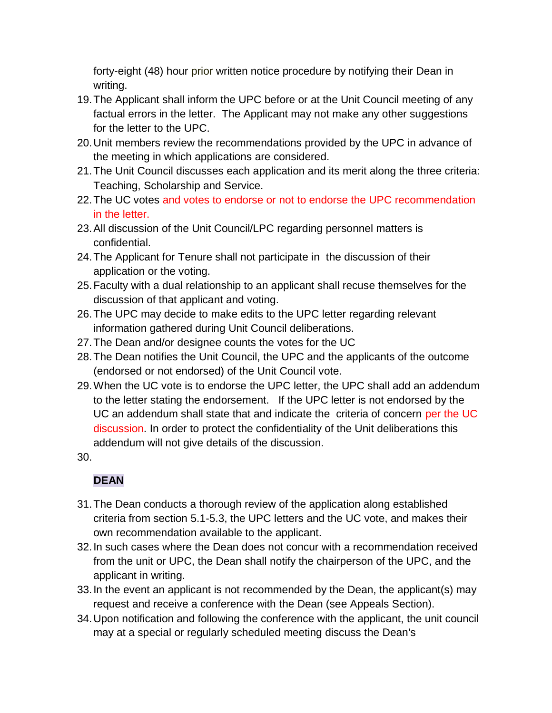forty-eight (48) hour prior written notice procedure by notifying their Dean in writing.

- 19.The Applicant shall inform the UPC before or at the Unit Council meeting of any factual errors in the letter. The Applicant may not make any other suggestions for the letter to the UPC.
- 20.Unit members review the recommendations provided by the UPC in advance of the meeting in which applications are considered.
- 21.The Unit Council discusses each application and its merit along the three criteria: Teaching, Scholarship and Service.
- 22.The UC votes and votes to endorse or not to endorse the UPC recommendation in the letter.
- 23.All discussion of the Unit Council/LPC regarding personnel matters is confidential.
- 24.The Applicant for Tenure shall not participate in the discussion of their application or the voting.
- 25.Faculty with a dual relationship to an applicant shall recuse themselves for the discussion of that applicant and voting.
- 26.The UPC may decide to make edits to the UPC letter regarding relevant information gathered during Unit Council deliberations.
- 27.The Dean and/or designee counts the votes for the UC
- 28.The Dean notifies the Unit Council, the UPC and the applicants of the outcome (endorsed or not endorsed) of the Unit Council vote.
- 29.When the UC vote is to endorse the UPC letter, the UPC shall add an addendum to the letter stating the endorsement. If the UPC letter is not endorsed by the UC an addendum shall state that and indicate the criteria of concern per the UC discussion. In order to protect the confidentiality of the Unit deliberations this addendum will not give details of the discussion.
- 30.

# **DEAN**

- 31.The Dean conducts a thorough review of the application along established criteria from section 5.1-5.3, the UPC letters and the UC vote, and makes their own recommendation available to the applicant.
- 32.In such cases where the Dean does not concur with a recommendation received from the unit or UPC, the Dean shall notify the chairperson of the UPC, and the applicant in writing.
- 33.In the event an applicant is not recommended by the Dean, the applicant(s) may request and receive a conference with the Dean (see Appeals Section).
- 34.Upon notification and following the conference with the applicant, the unit council may at a special or regularly scheduled meeting discuss the Dean's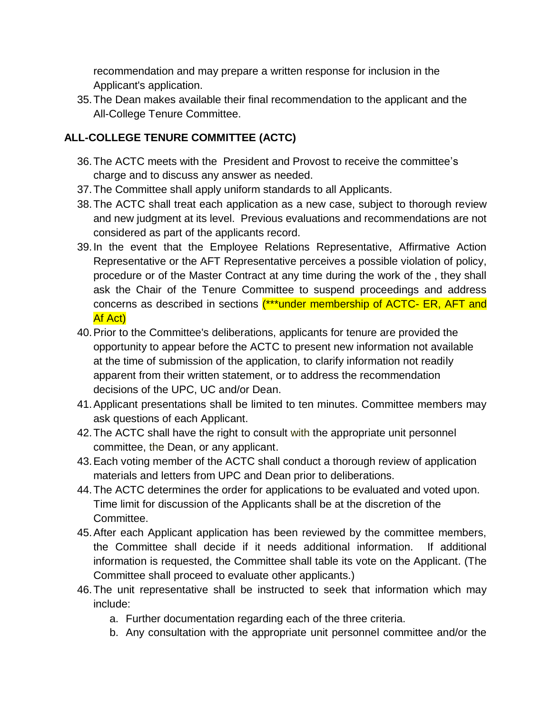recommendation and may prepare a written response for inclusion in the Applicant's application.

35.The Dean makes available their final recommendation to the applicant and the All-College Tenure Committee.

# **ALL-COLLEGE TENURE COMMITTEE (ACTC)**

- 36.The ACTC meets with the President and Provost to receive the committee's charge and to discuss any answer as needed.
- 37.The Committee shall apply uniform standards to all Applicants.
- 38.The ACTC shall treat each application as a new case, subject to thorough review and new judgment at its level. Previous evaluations and recommendations are not considered as part of the applicants record.
- 39.In the event that the Employee Relations Representative, Affirmative Action Representative or the AFT Representative perceives a possible violation of policy, procedure or of the Master Contract at any time during the work of the , they shall ask the Chair of the Tenure Committee to suspend proceedings and address concerns as described in sections (\*\*\*under membership of ACTC- ER, AFT and Af Act)
- 40.Prior to the Committee's deliberations, applicants for tenure are provided the opportunity to appear before the ACTC to present new information not available at the time of submission of the application, to clarify information not readily apparent from their written statement, or to address the recommendation decisions of the UPC, UC and/or Dean.
- 41.Applicant presentations shall be limited to ten minutes. Committee members may ask questions of each Applicant.
- 42.The ACTC shall have the right to consult with the appropriate unit personnel committee, the Dean, or any applicant.
- 43.Each voting member of the ACTC shall conduct a thorough review of application materials and letters from UPC and Dean prior to deliberations.
- 44.The ACTC determines the order for applications to be evaluated and voted upon. Time limit for discussion of the Applicants shall be at the discretion of the Committee.
- 45.After each Applicant application has been reviewed by the committee members, the Committee shall decide if it needs additional information. If additional information is requested, the Committee shall table its vote on the Applicant. (The Committee shall proceed to evaluate other applicants.)
- 46.The unit representative shall be instructed to seek that information which may include:
	- a. Further documentation regarding each of the three criteria.
	- b. Any consultation with the appropriate unit personnel committee and/or the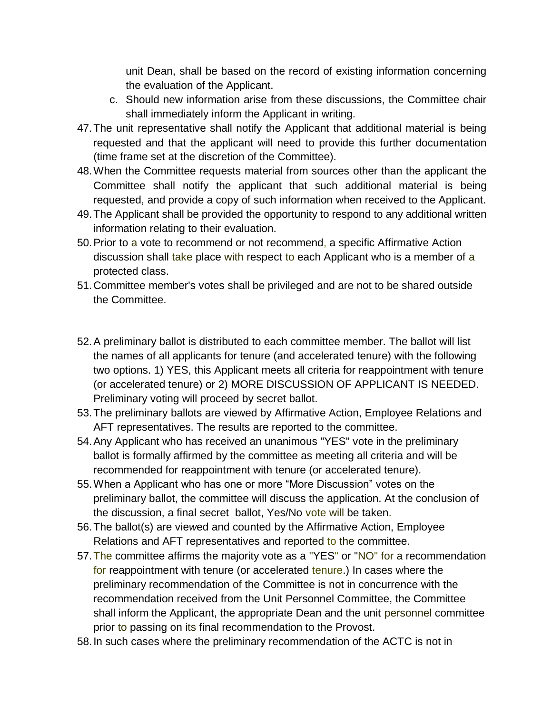unit Dean, shall be based on the record of existing information concerning the evaluation of the Applicant.

- c. Should new information arise from these discussions, the Committee chair shall immediately inform the Applicant in writing.
- 47.The unit representative shall notify the Applicant that additional material is being requested and that the applicant will need to provide this further documentation (time frame set at the discretion of the Committee).
- 48.When the Committee requests material from sources other than the applicant the Committee shall notify the applicant that such additional material is being requested, and provide a copy of such information when received to the Applicant.
- 49.The Applicant shall be provided the opportunity to respond to any additional written information relating to their evaluation.
- 50.Prior to a vote to recommend or not recommend, a specific Affirmative Action discussion shall take place with respect to each Applicant who is a member of a protected class.
- 51.Committee member's votes shall be privileged and are not to be shared outside the Committee.
- 52.A preliminary ballot is distributed to each committee member. The ballot will list the names of all applicants for tenure (and accelerated tenure) with the following two options. 1) YES, this Applicant meets all criteria for reappointment with tenure (or accelerated tenure) or 2) MORE DISCUSSION OF APPLICANT IS NEEDED. Preliminary voting will proceed by secret ballot.
- 53.The preliminary ballots are viewed by Affirmative Action, Employee Relations and AFT representatives. The results are reported to the committee.
- 54.Any Applicant who has received an unanimous "YES" vote in the preliminary ballot is formally affirmed by the committee as meeting all criteria and will be recommended for reappointment with tenure (or accelerated tenure).
- 55.When a Applicant who has one or more "More Discussion" votes on the preliminary ballot, the committee will discuss the application. At the conclusion of the discussion, a final secret ballot, Yes/No vote will be taken.
- 56.The ballot(s) are vie*w*ed and counted by the Affirmative Action, Employee Relations and AFT representatives and reported to the committee.
- 57.The committee affirms the majority vote as a "YES" or "NO" for a recommendation for reappointment with tenure (or accelerated tenure.) In cases where the preliminary recommendation of the Committee is not in concurrence with the recommendation received from the Unit Personnel Committee, the Committee shall inform the Applicant, the appropriate Dean and the unit personnel committee prior to passing on its final recommendation to the Provost.
- 58.In such cases where the preliminary recommendation of the ACTC is not in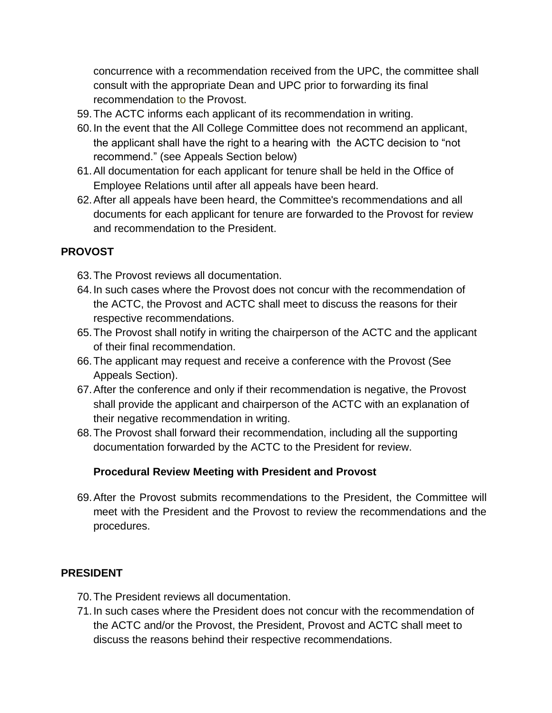concurrence with a recommendation received from the UPC, the committee shall consult with the appropriate Dean and UPC prior to forwarding its final recommendation to the Provost.

- 59.The ACTC informs each applicant of its recommendation in writing.
- 60.In the event that the All College Committee does not recommend an applicant, the applicant shall have the right to a hearing with the ACTC decision to "not recommend." (see Appeals Section below)
- 61.All documentation for each applicant for tenure shall be held in the Office of Employee Relations until after all appeals have been heard.
- 62.After all appeals have been heard, the Committee's recommendations and all documents for each applicant for tenure are forwarded to the Provost for review and recommendation to the President.

#### **PROVOST**

- 63.The Provost reviews all documentation.
- 64.In such cases where the Provost does not concur with the recommendation of the ACTC, the Provost and ACTC shall meet to discuss the reasons for their respective recommendations.
- 65.The Provost shall notify in writing the chairperson of the ACTC and the applicant of their final recommendation.
- 66.The applicant may request and receive a conference with the Provost (See Appeals Section).
- 67.After the conference and only if their recommendation is negative, the Provost shall provide the applicant and chairperson of the ACTC with an explanation of their negative recommendation in writing.
- 68.The Provost shall forward their recommendation, including all the supporting documentation forwarded by the ACTC to the President for review.

## **Procedural Review Meeting with President and Provost**

69.After the Provost submits recommendations to the President, the Committee will meet with the President and the Provost to review the recommendations and the procedures.

## **PRESIDENT**

- 70.The President reviews all documentation.
- 71.In such cases where the President does not concur with the recommendation of the ACTC and/or the Provost, the President, Provost and ACTC shall meet to discuss the reasons behind their respective recommendations.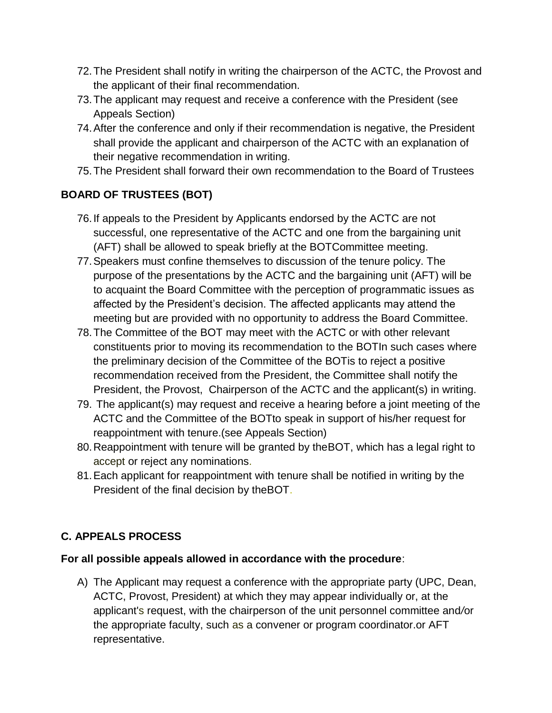- 72.The President shall notify in writing the chairperson of the ACTC, the Provost and the applicant of their final recommendation.
- 73.The applicant may request and receive a conference with the President (see Appeals Section)
- 74.After the conference and only if their recommendation is negative, the President shall provide the applicant and chairperson of the ACTC with an explanation of their negative recommendation in writing.
- 75.The President shall forward their own recommendation to the Board of Trustees

# **BOARD OF TRUSTEES (BOT)**

- 76.If appeals to the President by Applicants endorsed by the ACTC are not successful, one representative of the ACTC and one from the bargaining unit (AFT) shall be allowed to speak briefly at the BOTCommittee meeting.
- 77.Speakers must confine themselves to discussion of the tenure policy. The purpose of the presentations by the ACTC and the bargaining unit (AFT) will be to acquaint the Board Committee with the perception of programmatic issues as affected by the President's decision. The affected applicants may attend the meeting but are provided with no opportunity to address the Board Committee.
- 78.The Committee of the BOT may meet with the ACTC or with other relevant constituents prior to moving its recommendation to the BOTIn such cases where the preliminary decision of the Committee of the BOTis to reject a positive recommendation received from the President, the Committee shall notify the President, the Provost, Chairperson of the ACTC and the applicant(s) in writing.
- 79. The applicant(s) may request and receive a hearing before a joint meeting of the ACTC and the Committee of the BOTto speak in support of his/her request for reappointment with tenure.(see Appeals Section)
- 80.Reappointment with tenure will be granted by theBOT, which has a legal right to accept or reject any nominations.
- 81.Each applicant for reappointment with tenure shall be notified in writing by the President of the final decision by theBOT.

## **C. APPEALS PROCESS**

#### **For all possible appeals allowed in accordance with the procedure**:

A) The Applicant may request a conference with the appropriate party (UPC, Dean, ACTC, Provost, President) at which they may appear individually or, at the applicant's request, with the chairperson of the unit personnel committee and*/*or the appropriate faculty, such as a convener or program coordinator.or AFT representative.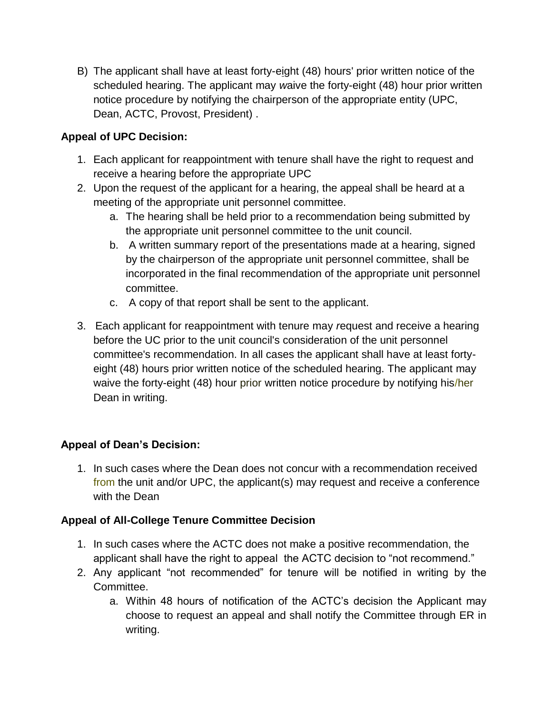B) The applicant shall have at least forty-eight (48) hours' prior written notice of the scheduled hearing. The applicant may *w*aive the forty-eight (48) hour prior written notice procedure by notifying the chairperson of the appropriate entity (UPC, Dean, ACTC, Provost, President) .

#### **Appeal of UPC Decision:**

- 1. Each applicant for reappointment with tenure shall have the right to request and receive a hearing before the appropriate UPC
- 2. Upon the request of the applicant for a hearing, the appeal shall be heard at a meeting of the appropriate unit personnel committee.
	- a. The hearing shall be held prior to a recommendation being submitted by the appropriate unit personnel committee to the unit council.
	- b. A written summary report of the presentations made at a hearing, signed by the chairperson of the appropriate unit personnel committee, shall be incorporated in the final recommendation of the appropriate unit personnel committee.
	- c. A copy of that report shall be sent to the applicant.
- 3. Each applicant for reappointment with tenure may *r*equest and receive a hearing before the UC prior to the unit council's consideration of the unit personnel committee's recommendation. In all cases the applicant shall have at least fortyeight (48) hours prior written notice of the scheduled hearing. The applicant may waive the forty-eight (48) hour prior written notice procedure by notifying his/her Dean in writing.

## **Appeal of Dean's Decision:**

1. In such cases where the Dean does not concur with a recommendation received from the unit and/or UPC, the applicant(s) may request and receive a conference with the Dean

#### **Appeal of All-College Tenure Committee Decision**

- 1. In such cases where the ACTC does not make a positive recommendation, the applicant shall have the right to appeal the ACTC decision to "not recommend."
- 2. Any applicant "not recommended" for tenure will be notified in writing by the Committee.
	- a. Within 48 hours of notification of the ACTC's decision the Applicant may choose to request an appeal and shall notify the Committee through ER in writing.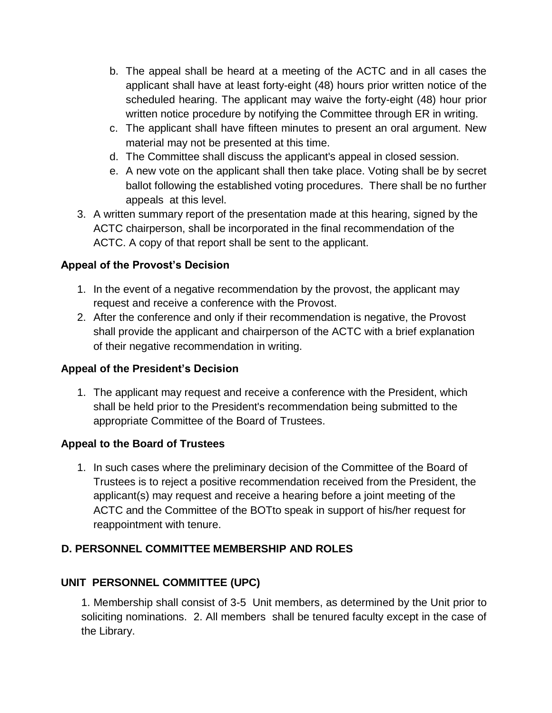- b. The appeal shall be heard at a meeting of the ACTC and in all cases the applicant shall have at least forty-eight (48) hours prior written notice of the scheduled hearing. The applicant may waive the forty-eight (48) hour prior written notice procedure by notifying the Committee through ER in writing.
- c. The applicant shall have fifteen minutes to present an oral argument. New material may not be presented at this time.
- d. The Committee shall discuss the applicant's appeal in closed session.
- e. A new vote on the applicant shall then take place. Voting shall be by secret ballot following the established voting procedures. There shall be no further appeals at this level.
- 3. A written summary report of the presentation made at this hearing, signed by the ACTC chairperson, shall be incorporated in the final recommendation of the ACTC. A copy of that report shall be sent to the applicant.

# **Appeal of the Provost's Decision**

- 1. In the event of a negative recommendation by the provost, the applicant may request and receive a conference with the Provost.
- 2. After the conference and only if their recommendation is negative, the Provost shall provide the applicant and chairperson of the ACTC with a brief explanation of their negative recommendation in writing.

## **Appeal of the President's Decision**

1. The applicant may request and receive a conference with the President, which shall be held prior to the President's recommendation being submitted to the appropriate Committee of the Board of Trustees.

# **Appeal to the Board of Trustees**

1. In such cases where the preliminary decision of the Committee of the Board of Trustees is to reject a positive recommendation received from the President, the applicant(s) may request and receive a hearing before a joint meeting of the ACTC and the Committee of the BOTto speak in support of his/her request for reappointment with tenure.

# **D. PERSONNEL COMMITTEE MEMBERSHIP AND ROLES**

# **UNIT PERSONNEL COMMITTEE (UPC)**

1. Membership shall consist of 3-5 Unit members, as determined by the Unit prior to soliciting nominations. 2. All members shall be tenured faculty except in the case of the Library.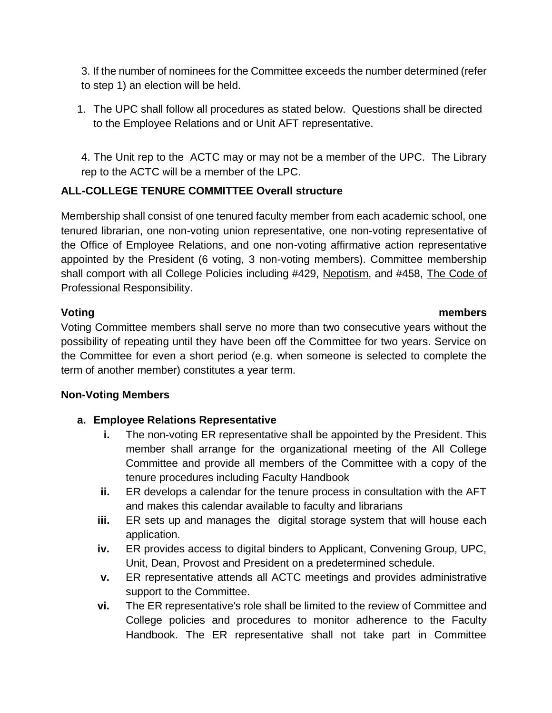3. If the number of nominees for the Committee exceeds the number determined (refer to step 1) an election will be held.

1. The UPC shall follow all procedures as stated below. Questions shall be directed to the Employee Relations and or Unit AFT representative.

4. The Unit rep to the ACTC may or may not be a member of the UPC. The Library rep to the ACTC will be a member of the LPC.

## **ALL-COLLEGE TENURE COMMITTEE Overall structure**

Membership shall consist of one tenured faculty member from each academic school, one tenured librarian, one non-voting union representative, one non-voting representative of the Office of Employee Relations, and one non-voting affirmative action representative appointed by the President (6 voting, 3 non-voting members). Committee membership shall comport with all College Policies including #429, Nepotism, and #458, The Code of Professional Responsibility.

#### **Voting members**

Voting Committee members shall serve no more than two consecutive years without the possibility of repeating until they have been off the Committee for two years. Service on the Committee for even a short period (e.g. when someone is selected to complete the term of another member) constitutes a year term.

#### **Non-Voting Members**

## **a. Employee Relations Representative**

- **i.** The non-voting ER representative shall be appointed by the President. This member shall arrange for the organizational meeting of the All College Committee and provide all members of the Committee with a copy of the tenure procedures including Faculty Handbook
- **ii.** ER develops a calendar for the tenure process in consultation with the AFT and makes this calendar available to faculty and librarians
- **iii.** ER sets up and manages the digital storage system that will house each application.
- **iv.** ER provides access to digital binders to Applicant, Convening Group, UPC, Unit, Dean, Provost and President on a predetermined schedule.
- **v.** ER representative attends all ACTC meetings and provides administrative support to the Committee.
- **vi.** The ER representative's role shall be limited to the review of Committee and College policies and procedures to monitor adherence to the Faculty Handbook. The ER representative shall not take part in Committee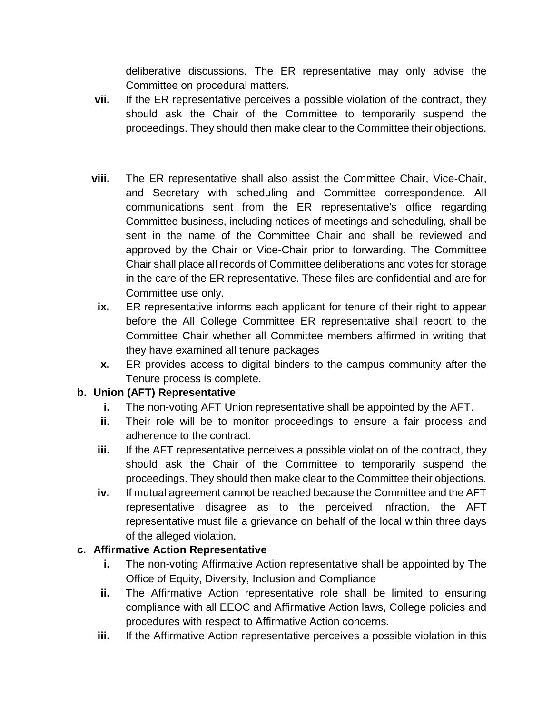deliberative discussions. The ER representative may only advise the Committee on procedural matters.

- **vii.** If the ER representative perceives a possible violation of the contract, they should ask the Chair of the Committee to temporarily suspend the proceedings. They should then make clear to the Committee their objections.
- **viii.** The ER representative shall also assist the Committee Chair, Vice-Chair, and Secretary with scheduling and Committee correspondence. All communications sent from the ER representative's office regarding Committee business, including notices of meetings and scheduling, shall be sent in the name of the Committee Chair and shall be reviewed and approved by the Chair or Vice-Chair prior to forwarding. The Committee Chair shall place all records of Committee deliberations and votes for storage in the care of the ER representative. These files are confidential and are for Committee use only.
- **ix.** ER representative informs each applicant for tenure of their right to appear before the All College Committee ER representative shall report to the Committee Chair whether all Committee members affirmed in writing that they have examined all tenure packages
- **x.** ER provides access to digital binders to the campus community after the Tenure process is complete.

## **b. Union (AFT) Representative**

- **i.** The non-voting AFT Union representative shall be appointed by the AFT.
- **ii.** Their role will be to monitor proceedings to ensure a fair process and adherence to the contract.
- **iii.** If the AFT representative perceives a possible violation of the contract, they should ask the Chair of the Committee to temporarily suspend the proceedings. They should then make clear to the Committee their objections.
- **iv.** If mutual agreement cannot be reached because the Committee and the AFT representative disagree as to the perceived infraction, the AFT representative must file a grievance on behalf of the local within three days of the alleged violation.

#### **c. Affirmative Action Representative**

- **i.** The non-voting Affirmative Action representative shall be appointed by The Office of Equity, Diversity, Inclusion and Compliance
- **ii.** The Affirmative Action representative role shall be limited to ensuring compliance with all EEOC and Affirmative Action laws, College policies and procedures with respect to Affirmative Action concerns.
- **iii.** If the Affirmative Action representative perceives a possible violation in this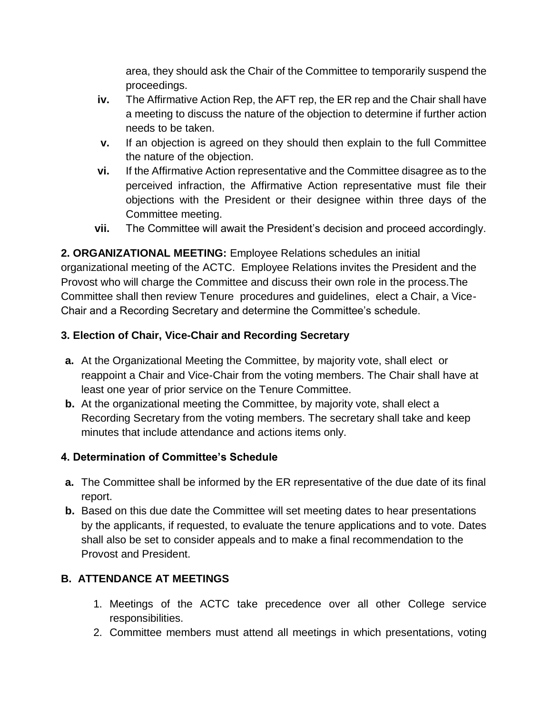area, they should ask the Chair of the Committee to temporarily suspend the proceedings.

- **iv.** The Affirmative Action Rep, the AFT rep, the ER rep and the Chair shall have a meeting to discuss the nature of the objection to determine if further action needs to be taken.
- **v.** If an objection is agreed on they should then explain to the full Committee the nature of the objection.
- **vi.** If the Affirmative Action representative and the Committee disagree as to the perceived infraction, the Affirmative Action representative must file their objections with the President or their designee within three days of the Committee meeting.
- **vii.** The Committee will await the President's decision and proceed accordingly.

**2. ORGANIZATIONAL MEETING:** Employee Relations schedules an initial organizational meeting of the ACTC. Employee Relations invites the President and the Provost who will charge the Committee and discuss their own role in the process.The Committee shall then review Tenure procedures and guidelines, elect a Chair, a Vice-Chair and a Recording Secretary and determine the Committee's schedule.

## **3. Election of Chair, Vice-Chair and Recording Secretary**

- **a.** At the Organizational Meeting the Committee, by majority vote, shall elect or reappoint a Chair and Vice-Chair from the voting members. The Chair shall have at least one year of prior service on the Tenure Committee.
- **b.** At the organizational meeting the Committee, by majority vote, shall elect a Recording Secretary from the voting members. The secretary shall take and keep minutes that include attendance and actions items only.

## **4. Determination of Committee's Schedule**

- **a.** The Committee shall be informed by the ER representative of the due date of its final report.
- **b.** Based on this due date the Committee will set meeting dates to hear presentations by the applicants, if requested, to evaluate the tenure applications and to vote. Dates shall also be set to consider appeals and to make a final recommendation to the Provost and President.

# **B. ATTENDANCE AT MEETINGS**

- 1. Meetings of the ACTC take precedence over all other College service responsibilities.
- 2. Committee members must attend all meetings in which presentations, voting